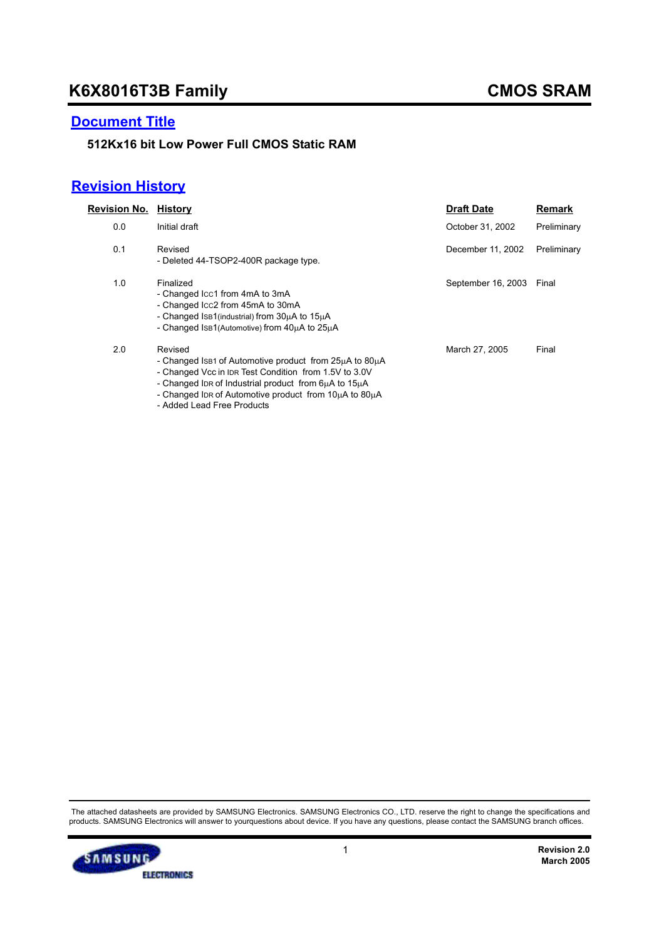### **Document Title**

### **512Kx16 bit Low Power Full CMOS Static RAM**

## **Revision History**

| Revision No. | History                                                                                                                                                                                                                                      | <b>Draft Date</b>  | Remark      |
|--------------|----------------------------------------------------------------------------------------------------------------------------------------------------------------------------------------------------------------------------------------------|--------------------|-------------|
| 0.0          | Initial draft                                                                                                                                                                                                                                | October 31, 2002   | Preliminary |
| 0.1          | Revised<br>- Deleted 44-TSOP2-400R package type.                                                                                                                                                                                             | December 11, 2002  | Preliminary |
| 1.0          | Finalized<br>- Changed Icc1 from 4mA to 3mA<br>- Changed Icc2 from 45mA to 30mA<br>- Changed IsB1(industrial) from 30uA to 15uA<br>- Changed IsB1(Automotive) from 40uA to 25uA                                                              | September 16, 2003 | Final       |
| 2.0          | Revised<br>- Changed Is B1 of Automotive product from 25µA to 80µA<br>- Changed Vcc in IDR Test Condition from 1.5V to 3.0V<br>- Changed IDR of Industrial product from 6µA to 15µA<br>- Changed IDR of Automotive product from 10uA to 80uA | March 27, 2005     | Final       |

- Added Lead Free Products

The attached datasheets are provided by SAMSUNG Electronics. SAMSUNG Electronics CO., LTD. reserve the right to change the specifications and<br>products. SAMSUNG Electronics will answer to yourquestions about device. If you

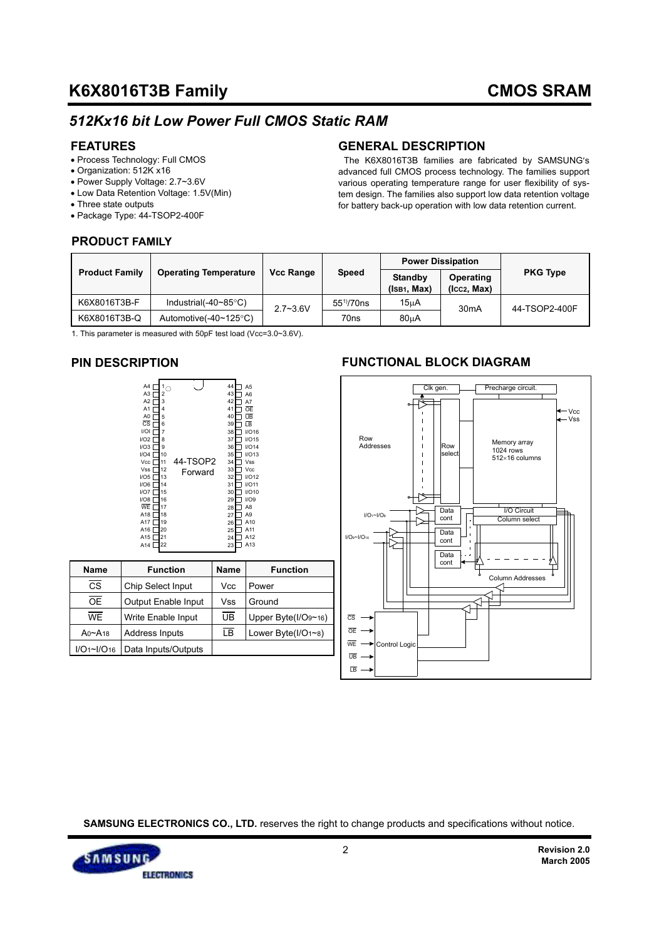## *512Kx16 bit Low Power Full CMOS Static RAM*

### **FEATURES**

- Process Technology: Full CMOS
- Organization: 512K x16
- Power Supply Voltage: 2.7~3.6V
- Low Data Retention Voltage: 1.5V(Min)
- Three state outputs
- Package Type: 44-TSOP2-400F

### **PRODUCT FAMILY**

### **GENERAL DESCRIPTION**

 The K6X8016T3B families are fabricated by SAMSUNG′s advanced full CMOS process technology. The families support various operating temperature range for user flexibility of system design. The families also support low data retention voltage for battery back-up operation with low data retention current.

|                       |                                |                  |                       |                               | <b>Power Dissipation</b>        |                 |  |
|-----------------------|--------------------------------|------------------|-----------------------|-------------------------------|---------------------------------|-----------------|--|
| <b>Product Family</b> | <b>Operating Temperature</b>   | <b>Vcc Range</b> | <b>Speed</b>          | <b>Standby</b><br>(ISB1, Max) | <b>Operating</b><br>(Icc2, Max) | <b>PKG Type</b> |  |
| K6X8016T3B-F          | Industrial(-40~85 $\degree$ C) | $2.7 - 3.6V$     | 55 <sup>1</sup> /70ns | 15 <sub>µ</sub> A             | 30 <sub>m</sub> A               | 44-TSOP2-400F   |  |
| K6X8016T3B-Q          | Automotive( $-40 \sim 125$ °C) |                  | 70 <sub>ns</sub>      | 80 <sub>u</sub> A             |                                 |                 |  |

1. This parameter is measured with 50pF test load (Vcc=3.0~3.6V).

### **PIN DESCRIPTION**

| A4                     |                |          | 44 | A5              |
|------------------------|----------------|----------|----|-----------------|
| A3                     | $\overline{c}$ |          | 43 | A <sub>6</sub>  |
| A2                     | 3              |          | 42 | A7              |
| A <sub>1</sub>         | 4              |          | 41 | OE              |
| A <sub>0</sub>         | 5              |          | 40 | UB              |
| $\overline{\text{cs}}$ | 6              |          | 39 | īΒ              |
| 1/                     | 7              |          | 38 | I/O16           |
| I/O2 I                 | 8              |          | 37 | I/O15           |
| I/O3 I                 | 9              |          | 36 | I/O14           |
| I/O4                   | 10             |          | 35 | I/O13           |
| Vcc [                  | 11             | 44-TSOP2 | 34 | Vss             |
| Vss l                  | 12             | Forward  | 33 | Vcc             |
| I/O5 [                 | 13             |          | 32 | I/O12           |
| 1/O6                   | 14             |          | 31 | I/O11           |
| 1/O7 I                 | 15             |          | 30 | <b>I/O10</b>    |
| UOS                    | 16             |          | 29 | 1/O9            |
| WE                     | 17             |          | 28 | A <sub>8</sub>  |
| A18                    | 18             |          | 27 | A <sub>9</sub>  |
| A17 [                  | 19             |          | 26 | A10             |
| A16                    | 20             |          | 25 | A11             |
| A15 l                  | 21             |          | 24 | A12             |
| A14 l                  | 22             |          | 23 | A <sub>13</sub> |
|                        |                |          |    |                 |

| Name          | <b>Function</b>     | <b>Name</b> | <b>Function</b>         |
|---------------|---------------------|-------------|-------------------------|
| CS            | Chip Select Input   | Vcc         | Power                   |
| <b>OE</b>     | Output Enable Input | Vss         | Ground                  |
| <b>WF</b>     | Write Enable Input  | UB          | Upper Byte( $I/O9~16$ ) |
| $An \sim A18$ | Address Inputs      | <b>LB</b>   | Lower Byte(I/O1~8)      |
| I/O1~I/O16    | Data Inputs/Outputs |             |                         |

### **FUNCTIONAL BLOCK DIAGRAM**



**SAMSUNG ELECTRONICS CO., LTD.** reserves the right to change products and specifications without notice.

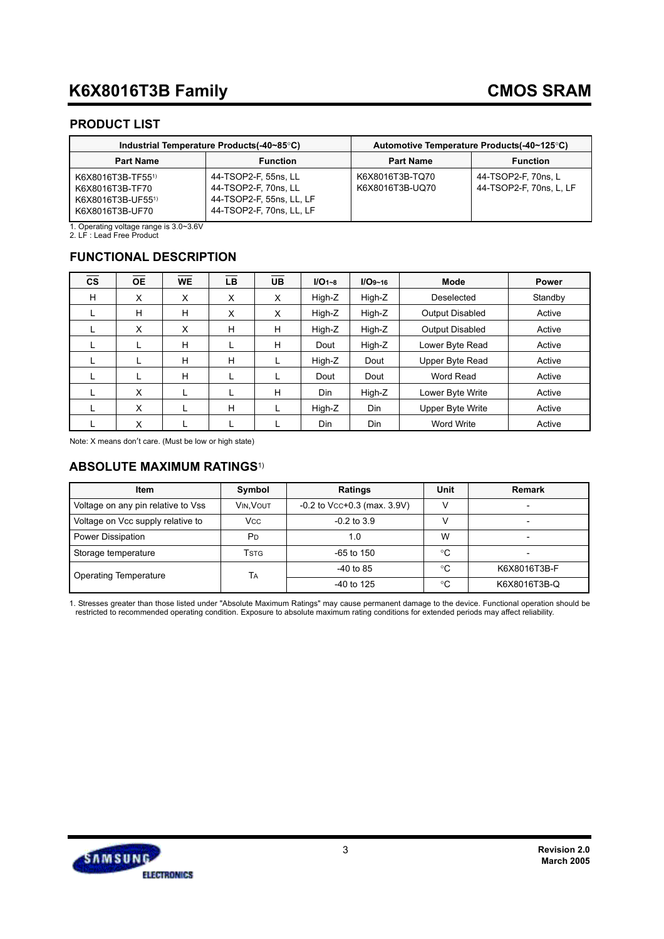### **PRODUCT LIST**

|                                                                              | Industrial Temperature Products(-40~85°C)                                                            | Automotive Temperature Products (-40~125°C) |                                                |  |  |
|------------------------------------------------------------------------------|------------------------------------------------------------------------------------------------------|---------------------------------------------|------------------------------------------------|--|--|
| <b>Function</b><br><b>Part Name</b>                                          |                                                                                                      | <b>Part Name</b>                            | <b>Function</b>                                |  |  |
| K6X8016T3B-TF551)<br>K6X8016T3B-TF70<br>K6X8016T3B-UF551)<br>K6X8016T3B-UF70 | 44-TSOP2-F, 55ns, LL<br>44-TSOP2-F, 70ns, LL<br>44-TSOP2-F, 55ns, LL, LF<br>44-TSOP2-F, 70ns, LL, LF | K6X8016T3B-TQ70<br>K6X8016T3B-UQ70          | 44-TSOP2-F, 70ns, L<br>44-TSOP2-F, 70ns, L, LF |  |  |

1. Operating voltage range is 3.0~3.6V 2. LF : Lead Free Product

### **FUNCTIONAL DESCRIPTION**

| <b>CS</b> | <b>OE</b> | <b>WE</b> | <b>LB</b> | <b>UB</b> | $I/O1 - 8$ | $I/O9 - 16$ | <b>Mode</b>      | <b>Power</b> |
|-----------|-----------|-----------|-----------|-----------|------------|-------------|------------------|--------------|
| H         | X         | X         | X         | X         | High-Z     | High-Z      | Deselected       | Standby      |
|           | H         | H         | X         | X         | High-Z     | High-Z      | Output Disabled  | Active       |
| L         | X         | X         | H         | H         | High-Z     | High-Z      | Output Disabled  | Active       |
|           |           | H         | L         | H         | Dout       | High-Z      | Lower Byte Read  | Active       |
|           |           | H         | H         |           | High-Z     | Dout        | Upper Byte Read  | Active       |
|           |           | H         | L         |           | Dout       | Dout        | Word Read        | Active       |
|           | X         |           |           | н         | Din        | High-Z      | Lower Byte Write | Active       |
|           | X         |           | H         |           | High-Z     | <b>Din</b>  | Upper Byte Write | Active       |
|           | X         |           |           |           | Din        | Din         | Word Write       | Active       |

Note: X means don′t care. (Must be low or high state)

### **ABSOLUTE MAXIMUM RATINGS**1)

| <b>Item</b>                        | Symbol                | <b>Ratings</b>                   | Unit | <b>Remark</b>            |
|------------------------------------|-----------------------|----------------------------------|------|--------------------------|
| Voltage on any pin relative to Vss | VIN. VOUT             | $-0.2$ to Vcc $+0.3$ (max. 3.9V) | v    | $\overline{\phantom{0}}$ |
| Voltage on Vcc supply relative to  | <b>V<sub>cc</sub></b> | $-0.2$ to $3.9$                  |      |                          |
| Power Dissipation                  | P <sub>D</sub>        | 1.0                              | W    |                          |
| Storage temperature                | Tstg                  | $-65$ to 150                     | °C   |                          |
| <b>Operating Temperature</b>       | TA                    | $-40$ to 85                      | ∘C   | K6X8016T3B-F             |
|                                    |                       | $-40$ to 125                     | °C   | K6X8016T3B-Q             |

1. Stresses greater than those listed under "Absolute Maximum Ratings" may cause permanent damage to the device. Functional operation should be<br>restricted to recommended operating condition. Exposure to absolute maximum ra

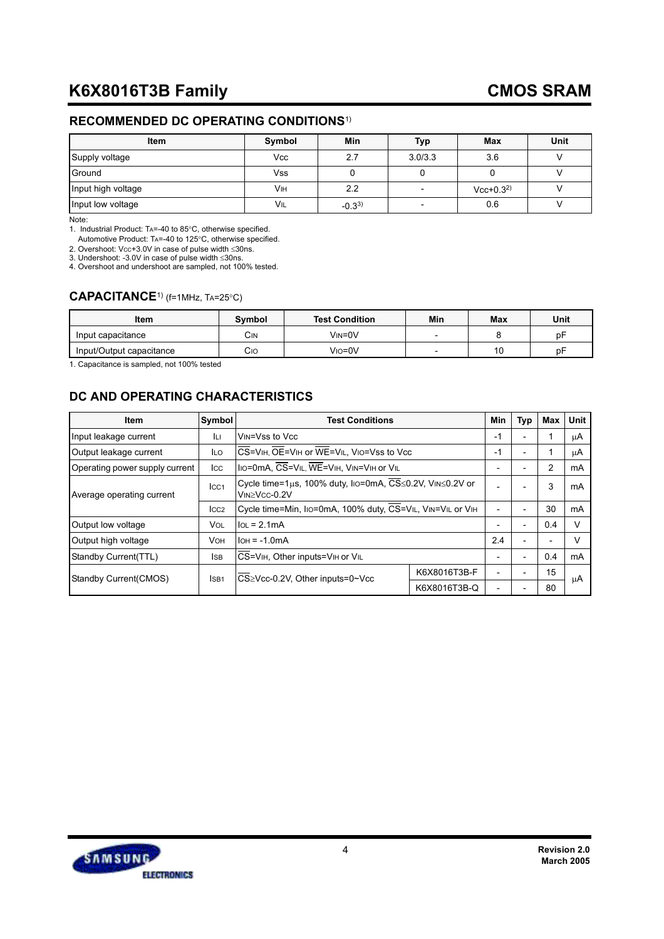### **RECOMMENDED DC OPERATING CONDITIONS**1)

| Item               | Symbol | Min        | Typ     | <b>Max</b>    | Unit |
|--------------------|--------|------------|---------|---------------|------|
| Supply voltage     | Vcc    | 2.7        | 3.0/3.3 | 3.6           |      |
| Ground             | Vss    |            |         |               |      |
| Input high voltage | Vıн    | 2.2        | -       | $Vcc+0.3^{2}$ |      |
| Input low voltage  | VIL    | $-0.3^{3}$ |         | 0.6           |      |

Note:

1. Industrial Product: TA=-40 to 85°C, otherwise specified.

Automotive Product: TA=-40 to 125°C, otherwise specified.

2. Overshoot: VCC+3.0V in case of pulse width ≤30ns. 3. Undershoot: -3.0V in case of pulse width ≤30ns.

4. Overshoot and undershoot are sampled, not 100% tested.

### **CAPACITANCE**1) (f=1MHz, TA=25°C)

| Item                     | <b>Symbol</b> | <b>Test Condition</b> | Min                      | Max | Unit |
|--------------------------|---------------|-----------------------|--------------------------|-----|------|
| Input capacitance        | Сім           | VIN=0V                | $\overline{\phantom{0}}$ |     | рF   |
| Input/Output capacitance | Cıc           | Vio=0V                | $\overline{\phantom{0}}$ | 10  | рF   |

1. Capacitance is sampled, not 100% tested

### **DC AND OPERATING CHARACTERISTICS**

| Item                           | <b>Symbol</b>    | <b>Test Conditions</b>                                     |                                                          | <b>Min</b>     | Typ                      | Max | Unit   |
|--------------------------------|------------------|------------------------------------------------------------|----------------------------------------------------------|----------------|--------------------------|-----|--------|
| Input leakage current          | Iц               | VIN=Vss to Vcc                                             | $-1$                                                     |                | $\overline{\phantom{0}}$ |     | μA     |
| Output leakage current         | <b>ILO</b>       | CS=VIH, OE=VIH or WE=VIL, VIO=Vss to Vcc                   |                                                          |                |                          |     | μA     |
| Operating power supply current | Icc              | IIO=0mA, CS=VIL, WE=VIH, VIN=VIH or VIL                    |                                                          |                |                          | 2   | mA     |
| Average operating current      | Icc <sub>1</sub> | $VIN > VCC-0.2V$                                           | Cycle time=1µs, 100% duty, lıo=0mA, CS≤0.2V, VıN≤0.2V or |                |                          |     | mA     |
|                                | CC2              | Cycle time=Min, IIo=0mA, 100% duty, CS=VIL, VIN=VIL or VIH |                                                          | $\blacksquare$ |                          | 30  | mA     |
| Output low voltage             | Vol              | $IoL = 2.1mA$                                              |                                                          |                |                          | 0.4 | v      |
| Output high voltage            | <b>VOH</b>       | $IOH = -1.0mA$                                             |                                                          | 2.4            | $\overline{\phantom{0}}$ |     | $\vee$ |
| Standby Current(TTL)           | <b>ISB</b>       | CS=VIH, Other inputs=VIH or VIL                            |                                                          |                |                          | 0.4 | mA     |
| Standby Current (CMOS)         | ISB <sub>1</sub> | CS≥Vcc-0.2V, Other inputs=0~Vcc                            | K6X8016T3B-F                                             |                |                          | 15  |        |
|                                |                  |                                                            | K6X8016T3B-Q                                             |                |                          | 80  | μA     |

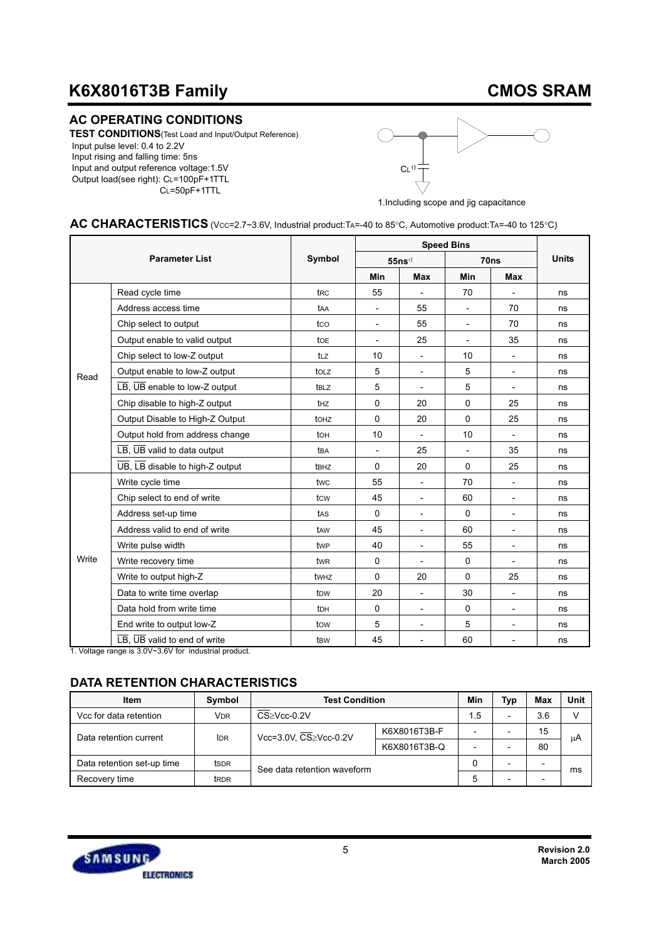## **CMOS SRAM**

### **AC OPERATING CONDITIONS**

**TEST CONDITIONS**(Test Load and Input/Output Reference) Input pulse level: 0.4 to 2.2V Input rising and falling time: 5ns Input and output reference voltage:1.5V Output load(see right): CL=100pF+1TTL CL=50pF+1TTL



1.Including scope and jig capacitance

### AC CHARACTERISTICS (Vcc=2.7~3.6V, Industrial product:TA=-40 to 85°C, Automotive product:TA=-40 to 125°C)

|       |                                                                        |                  |                          |                          | <b>Speed Bins</b>        |                          |              |
|-------|------------------------------------------------------------------------|------------------|--------------------------|--------------------------|--------------------------|--------------------------|--------------|
|       | <b>Parameter List</b>                                                  |                  |                          | $55ns$ <sup>1)</sup>     |                          | 70ns                     | <b>Units</b> |
|       |                                                                        |                  | Min                      | <b>Max</b>               | Min                      | Max                      |              |
|       | Read cycle time                                                        | t <sub>RC</sub>  | 55                       | $\overline{\phantom{a}}$ | 70                       |                          | ns           |
|       | Address access time                                                    | taa              | $\overline{\phantom{a}}$ | 55                       | $\overline{\phantom{a}}$ | 70                       | ns           |
|       | Chip select to output                                                  | tco              | $\overline{\phantom{a}}$ | 55                       | $\overline{\phantom{a}}$ | 70                       | ns           |
|       | Output enable to valid output                                          | to <sub>E</sub>  | $\qquad \qquad -$        | 25                       | $\overline{\phantom{a}}$ | 35                       | ns           |
|       | Chip select to low-Z output                                            | tLz              | 10                       | $\overline{\phantom{a}}$ | 10                       |                          | ns           |
| Read  | Output enable to low-Z output                                          | to <sub>LZ</sub> | 5                        | $\overline{\phantom{a}}$ | 5                        | $\blacksquare$           | ns           |
|       | $\overline{\text{LB}}$ , $\overline{\text{UB}}$ enable to low-Z output | t <sub>BLZ</sub> | 5                        | $\overline{\phantom{a}}$ | 5                        |                          | ns           |
|       | Chip disable to high-Z output                                          | t <sub>HZ</sub>  | $\mathbf 0$              | 20                       | $\mathbf 0$              | 25                       | ns           |
|       | Output Disable to High-Z Output                                        | to <sub>Hz</sub> | 0                        | 20                       | $\mathbf 0$              | 25                       | ns           |
|       | Output hold from address change                                        | to <sub>H</sub>  | 10                       | $\overline{\phantom{a}}$ | 10                       |                          | ns           |
|       | LB, UB valid to data output                                            | tba              | $\overline{\phantom{a}}$ | 25                       | $\overline{\phantom{a}}$ | 35                       | ns           |
|       | UB, LB disable to high-Z output                                        | t <sub>BHZ</sub> | 0                        | 20                       | $\mathbf 0$              | 25                       | ns           |
|       | Write cycle time                                                       | twc              | 55                       | $\overline{\phantom{a}}$ | 70                       |                          | ns           |
|       | Chip select to end of write                                            | tcw              | 45                       | $\overline{\phantom{a}}$ | 60                       |                          | ns           |
|       | Address set-up time                                                    | tas              | $\mathbf 0$              | $\overline{\phantom{a}}$ | $\mathbf 0$              | $\overline{\phantom{a}}$ | ns           |
|       | Address valid to end of write                                          | taw              | 45                       | $\overline{\phantom{a}}$ | 60                       | $\overline{\phantom{a}}$ | ns           |
|       | Write pulse width                                                      | twp              | 40                       | $\overline{\phantom{a}}$ | 55                       | $\overline{\phantom{a}}$ | ns           |
| Write | Write recovery time                                                    | tw <sub>R</sub>  | 0                        |                          | 0                        |                          | ns           |
|       | Write to output high-Z                                                 | twHZ             | $\Omega$                 | 20                       | $\Omega$                 | 25                       | ns           |
|       | Data to write time overlap                                             | t <sub>D</sub> w | 20                       | $\overline{\phantom{a}}$ | 30                       | $\overline{\phantom{a}}$ | ns           |
|       | Data hold from write time                                              | t <sub>DH</sub>  | $\mathbf 0$              | $\overline{\phantom{a}}$ | $\Omega$                 |                          | ns           |
|       | End write to output low-Z                                              | tow              | 5                        | $\overline{\phantom{a}}$ | 5                        | $\overline{\phantom{a}}$ | ns           |
|       | LB, UB valid to end of write                                           | t <sub>BW</sub>  | 45                       | $\overline{\phantom{a}}$ | 60                       | $\overline{\phantom{a}}$ | ns           |

1. Voltage range is 3.0V~3.6V for industrial product.

### **DATA RETENTION CHARACTERISTICS**

| Item                       | Symbol                | <b>Test Condition</b>       | Min          | <b>Typ</b> | Max                      | Unit |    |
|----------------------------|-----------------------|-----------------------------|--------------|------------|--------------------------|------|----|
| Vcc for data retention     | <b>V<sub>DR</sub></b> | CS≥Vcc-0.2V                 |              | 1.5        | $\overline{\phantom{0}}$ | 3.6  |    |
| Data retention current     | <b>IDR</b>            | Vcc=3.0V, CS≥Vcc-0.2V       | K6X8016T3B-F |            |                          | 15   | μA |
|                            |                       |                             | K6X8016T3B-Q |            |                          | 80   |    |
| Data retention set-up time | ts <sub>DR</sub>      | See data retention waveform |              |            |                          | -    | ms |
| Recovery time              | t <sub>RDR</sub>      |                             | 5            |            |                          |      |    |

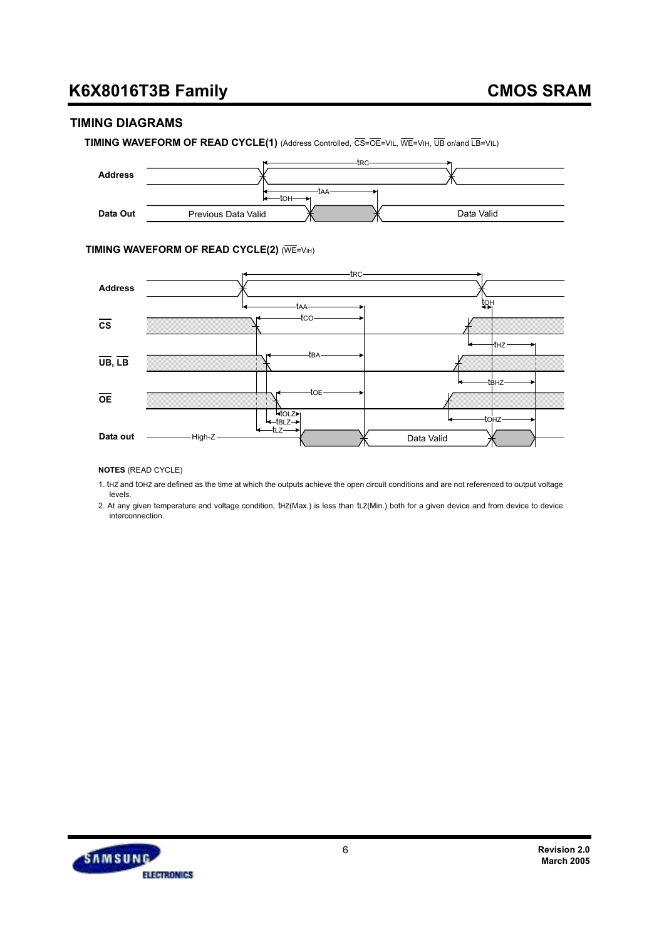### **TIMING DIAGRAMS**

**TIMING WAVEFORM OF READ CYCLE(1)** (Address Controlled, CS=OE=VIL, WE=VIH, UB or/and LB=VIL)



#### **TIMING WAVEFORM OF READ CYCLE(2) (WE=VIH)**



**NOTES** (READ CYCLE)

1. tHZ and tOHZ are defined as the time at which the outputs achieve the open circuit conditions and are not referenced to output voltage levels.

2. At any given temperature and voltage condition, tHZ(Max.) is less than tLZ(Min.) both for a given device and from device to device interconnection.

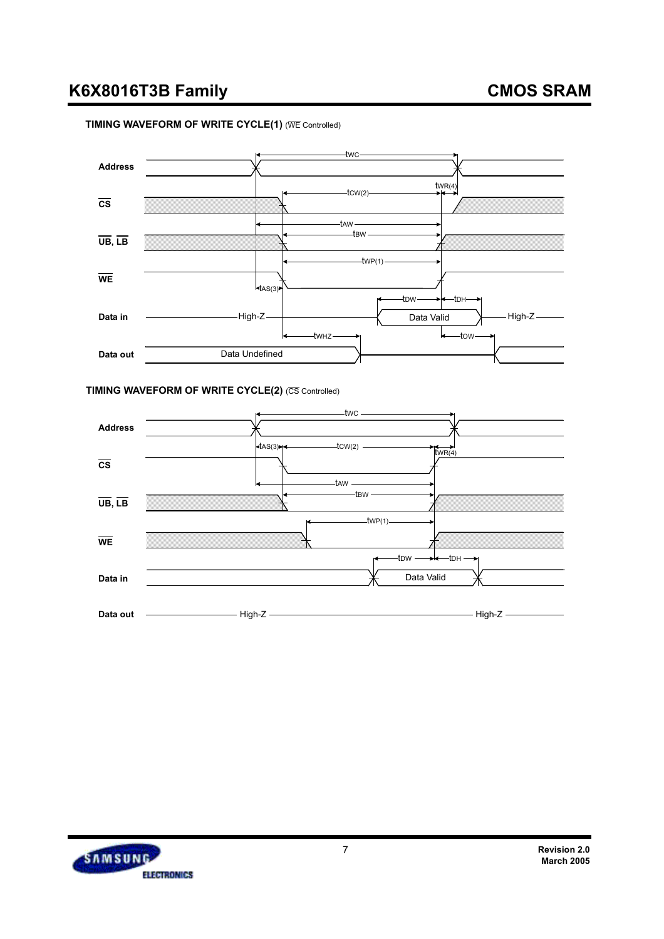## **CMOS SRAM**

#### **TIMING WAVEFORM OF WRITE CYCLE(1)** (WE Controlled)



#### **TIMING WAVEFORM OF WRITE CYCLE(2) (CS Controlled)**



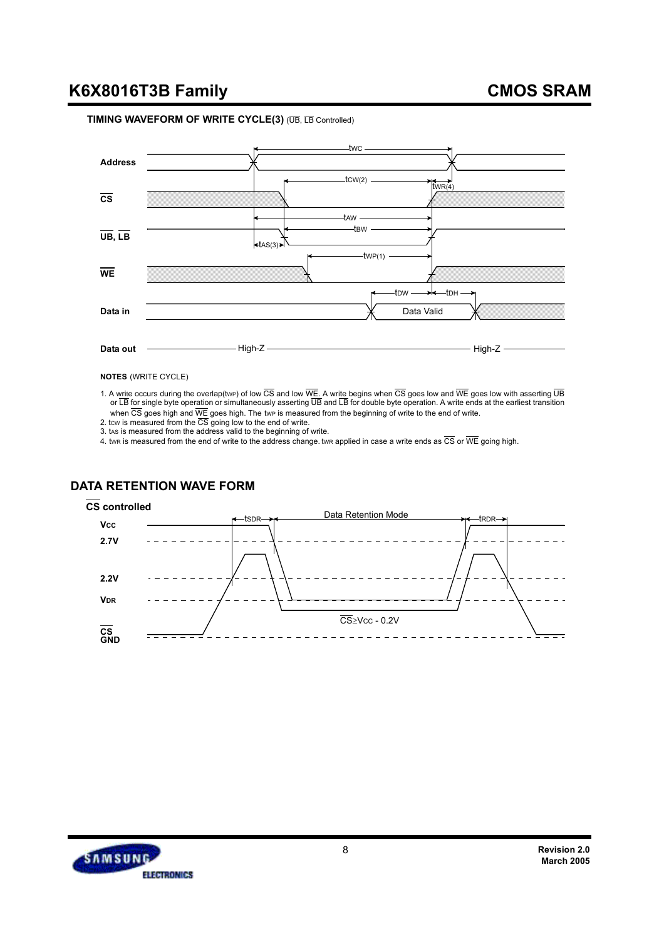#### **TIMING WAVEFORM OF WRITE CYCLE(3)** (UB, LB Controlled)



**NOTES** (WRITE CYCLE)

1. A write occurs during the overlap(twp) of low  $\overline{CS}$  and low  $\overline{WE}$ . A write begins when  $\overline{CS}$  goes low and  $\overline{WE}$  goes low with asserting  $\overline{UB}$ or LB for single byte operation or simultaneously asserting UB and LB for double byte operation. A write ends at the earliest transition when  $\overline{\text{CS}}$  goes high and  $\overline{\text{WE}}$  goes high. The twe is measured from the beginning of write to the end of write.

2. tcw is measured from the CS going low to the end of write.<br>3. tas is measured from the address valid to the beginning of write.

4. twe is measured from the end of write to the address change. twe applied in case a write ends as  $\overline{CS}$  or  $\overline{WE}$  going high.

### **DATA RETENTION WAVE FORM**

#### **CS controlled**